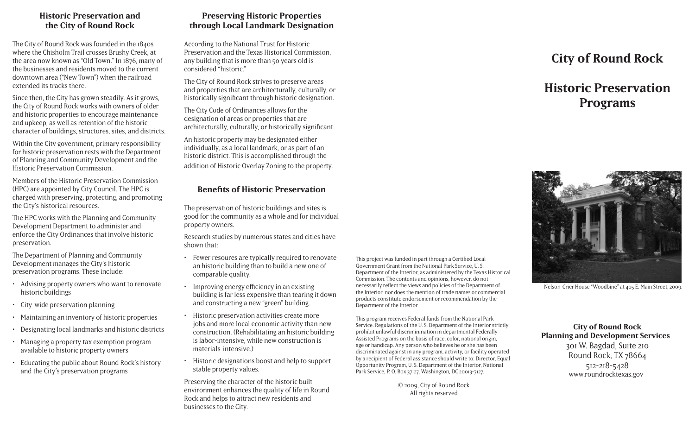#### **Historic Preservation and the City of Round Rock**

The City of Round Rock was founded in the 1840s where the Chisholm Trail crosses Brushy Creek, at the area now known as "Old Town." In 1876, many of the businesses and residents moved to the current downtown area ("New Town") when the railroad extended its tracks there.

Since then, the City has grown steadily. As it grows, the City of Round Rock works with owners of older and historic properties to encourage maintenance and upkeep, as well as retention of the historic character of buildings, structures, sites, and districts.

Within the City government, primary responsibility for historic preservation rests with the Department of Planning and Community Development and the Historic Preservation Commission.

Members of the Historic Preservation Commission (HPC) are appointed by City Council. The HPC is charged with preserving, protecting, and promoting the City's historical resources.

The HPC works with the Planning and Community Development Department to administer and enforce the City Ordinances that involve historic preservation.

The Department of Planning and Community Development manages the City's historic preservation programs. These include:

- Advising property owners who want to renovate historic buildings
- City-wide preservation planning
- Maintaining an inventory of historic properties
- Designating local landmarks and historic districts
- Managing a property tax exemption program available to historic property owners
- Educating the public about Round Rock's history and the City's preservation programs

## **Preserving Historic Properties through Local Landmark Designation**

According to the National Trust for Historic Preservation and the Texas Historical Commission, any building that is more than 50 years old is considered "historic."

The City of Round Rock strives to preserve areas and properties that are architecturally, culturally, or historically significant through historic designation.

The City Code of Ordinances allows for the designation of areas or properties that are architecturally, culturally, or historically significant.

An historic property may be designated either individually, as a local landmark, or as part of an historic district. This is accomplished through the addition of Historic Overlay Zoning to the property.

#### **Benefits of Historic Preservation**

The preservation of historic buildings and sites is good for the community as a whole and for individual property owners.

Research studies by numerous states and cities have shown that:

- Fewer resoures are typically required to renovate an historic building than to build a new one of comparable quality.
- Improving energy efficiency in an existing building is far less expensive than tearing it down and constructing a new "green" building.
- Historic preservation activities create more jobs and more local economic activity than new construction. (Rehabilitating an historic building is labor-intensive, while new construction is materials-intensive.)
- Historic designations boost and help to support stable property values.

Preserving the character of the historic built environment enhances the quality of life in Round Rock and helps to attract new residents and businesses to the City.

This project was funded in part through a Certified Local Government Grant from the National Park Service, U. S. Department of the Interior, as administered by the Texas Historical Commission. The contents and opinions, however, do not necessarily reflect the views and policies of the Department of the Interior, nor does the mention of trade names or commercial products constitute endorsement or recommendation by the Department of the Interior.

This program receives Federal funds from the National Park Service. Regulations of the U. S. Department of the Interior strictly prohibit unlawful discriminination in departmental Federally Assisted Programs on the basis of race, color, national origin, age or handicap. Any person who believes he or she has been discriminated against in any program, activity, or facility operated by a recipient of Federal assistance should write to: Director, Equal Opportunity Program, U. S. Department of the Interior, National Park Service, P. O. Box 37127, Washington, DC 20013-7127.

> © 2009, City of Round Rock All rights reserved

# **City of Round Rock**

# **Historic Preservation Programs**



Nelson-Crier House "Woodbine" at 405 E. Main Street, 2009.

**City of Round Rock Planning and Development Services** 301 W. Bagdad, Suite 210 Round Rock, TX 78664 512-218-5428 www.roundrocktexas.gov